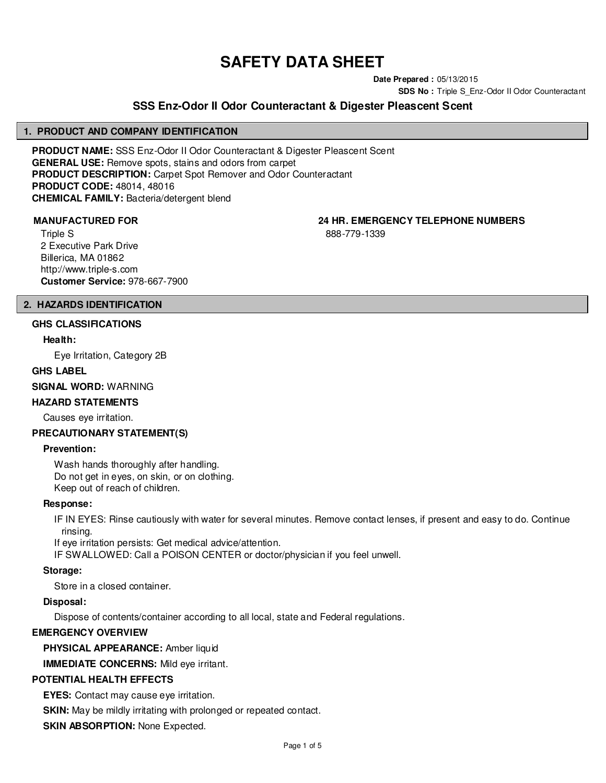# **SAFETY DATA SHEET**

**Date Prepared :** 05/13/2015

**SDS No : Triple S Enz-Odor II Odor Counteractant** 

# **SSS Enz-Odor II Odor Counteractant & Digester Pleascent Scent**

# **1. PRODUCT AND COMPANY IDENTIFICATION**

**PRODUCT NAME:** SSS Enz-Odor II Odor Counteractant & Digester Pleascent Scent **GENERAL USE:** Remove spots, stains and odors from carpet **PRODUCT DESCRIPTION:** Carpet Spot Remover and Odor Counteractant **PRODUCT CODE:** 48014, 48016 **CHEMICAL FAMILY:** Bacteria/detergent blend

**MANUFACTURED FOR 24 HR. EMERGENCY TELEPHONE NUMBERS**

Triple S 2 Executive Park Drive Billerica, MA 01862 http://www.triple-s.com **Customer Service:** 978-667-7900 888-779-1339

# **2. HAZARDS IDENTIFICATION**

**GHS CLASSIFICATIONS**

# **Health:**

Eye Irritation, Category 2B

# **GHS LABEL**

**SIGNAL WORD:** WARNING

# **HAZARD STATEMENTS**

Causes eye irritation.

# **PRECAUTIONARY STATEMENT(S)**

# **Prevention:**

Wash hands thoroughly after handling. Do not get in eyes, on skin, or on clothing. Keep out of reach of children.

# **Response:**

IF IN EYES: Rinse cautiously with water for several minutes. Remove contact lenses, if present and easy to do. Continue rinsing.

If eye irritation persists: Get medical advice/attention.

IF SWALLOWED: Call a POISON CENTER or doctor/physician if you feel unwell.

# **Storage:**

Store in a closed container.

# **Disposal:**

Dispose of contents/container according to all local, state and Federal regulations.

# **EMERGENCY OVERVIEW**

**PHYSICAL APPEARANCE:** Amber liquid

**IMMEDIATE CONCERNS:** Mild eye irritant.

# **POTENTIAL HEALTH EFFECTS**

**EYES:** Contact may cause eye irritation.

**SKIN:** May be mildly irritating with prolonged or repeated contact.

**SKIN ABSORPTION: None Expected.**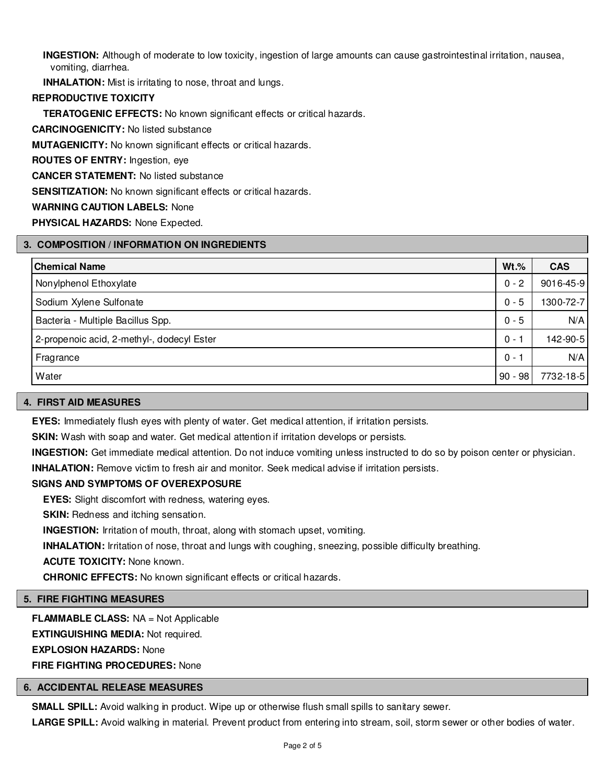**INGESTION:** Although of moderate to low toxicity, ingestion of large amounts can cause gastrointestinal irritation, nausea, vomiting, diarrhea.

**INHALATION:** Mist is irritating to nose, throat and lungs.

# **REPRODUCTIVE TOXICITY**

**TERATOGENIC EFFECTS:** No known significant effects or critical hazards.

**CARCINOGENICITY:** No listed substance

**MUTAGENICITY:** No known significant effects or critical hazards.

**ROUTES OF ENTRY:** Ingestion, eye

**CANCER STATEMENT:** No listed substance

**SENSITIZATION:** No known significant effects or critical hazards.

#### **WARNING CAUTION LABELS:** None

**PHYSICAL HAZARDS:** None Expected.

# **3. COMPOSITION / INFORMATION ON INGREDIENTS**

| <b>Chemical Name</b>                       | $Wt.\%$   | <b>CAS</b> |
|--------------------------------------------|-----------|------------|
| Nonylphenol Ethoxylate                     | $0 - 2$   | 9016-45-9  |
| Sodium Xylene Sulfonate                    | $0 - 5$   | 1300-72-7  |
| Bacteria - Multiple Bacillus Spp.          | $0 - 5$   | N/A        |
| 2-propenoic acid, 2-methyl-, dodecyl Ester | $0 -$     | 142-90-5   |
| Fragrance                                  | $0 - 1$   | N/A        |
| Water                                      | $90 - 98$ | 7732-18-5  |

#### **4. FIRST AID MEASURES**

**EYES:** Immediately flush eyes with plenty of water. Get medical attention, if irritation persists.

**SKIN:** Wash with soap and water. Get medical attention if irritation develops or persists.

**INGESTION:** Get immediate medical attention. Do not induce vomiting unless instructed to do so by poison center or physician.

**INHALATION:** Remove victim to fresh air and monitor. Seek medical advise if irritation persists.

# **SIGNS AND SYMPTOMS OF OVEREXPOSURE**

**EYES:** Slight discomfort with redness, watering eyes.

**SKIN:** Redness and itching sensation.

**INGESTION:** Irritation of mouth, throat, along with stomach upset, vomiting.

**INHALATION:** Irritation of nose, throat and lungs with coughing, sneezing, possible difficulty breathing.

**ACUTE TOXICITY:** None known.

**CHRONIC EFFECTS:** No known significant effects or critical hazards.

# **5. FIRE FIGHTING MEASURES**

**FLAMMABLE CLASS:** NA = Not Applicable **EXTINGUISHING MEDIA:** Not required. **EXPLOSION HAZARDS:** None **FIRE FIGHTING PROCEDURES:** None

# **6. ACCIDENTAL RELEASE MEASURES**

**SMALL SPILL:** Avoid walking in product. Wipe up or otherwise flush small spills to sanitary sewer.

**LARGE SPILL:** Avoid walking in material. Prevent product from entering into stream, soil, storm sewer or other bodies of water.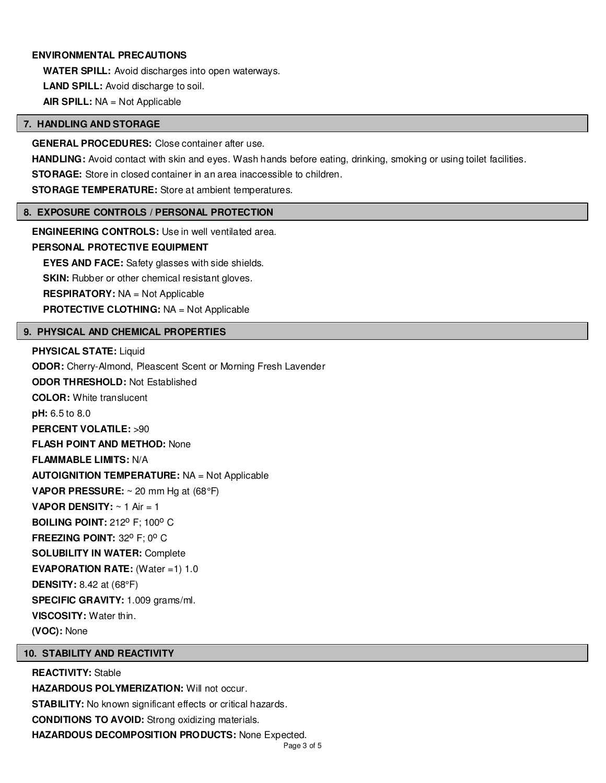# **ENVIRONMENTAL PRECAUTIONS**

**WATER SPILL:** Avoid discharges into open waterways. **LAND SPILL:** Avoid discharge to soil. **AIR SPILL:** NA = Not Applicable

#### **7. HANDLING AND STORAGE**

**GENERAL PROCEDURES:** Close container after use.

**HANDLING:** Avoid contact with skin and eyes. Wash hands before eating, drinking, smoking or using toilet facilities.

**STORAGE:** Store in closed container in an area inaccessible to children.

**STORAGE TEMPERATURE:** Store at ambient temperatures.

#### **8. EXPOSURE CONTROLS / PERSONAL PROTECTION**

**ENGINEERING CONTROLS:** Use in well ventilated area.

# **PERSONAL PROTECTIVE EQUIPMENT**

**EYES AND FACE:** Safety glasses with side shields.

**SKIN:** Rubber or other chemical resistant gloves.

**RESPIRATORY:** NA = Not Applicable

**PROTECTIVE CLOTHING:** NA = Not Applicable

# **9. PHYSICAL AND CHEMICAL PROPERTIES**

#### **PHYSICAL STATE:** Liquid

**ODOR:** Cherry-Almond, Pleascent Scent or Morning Fresh Lavender **ODOR THRESHOLD:** Not Established **COLOR:** White translucent **pH:** 6.5 to 8.0 **PERCENT VOLATILE:** >90 **FLASH POINT AND METHOD:** None **FLAMMABLE LIMITS:** N/A **AUTOIGNITION TEMPERATURE:** NA = Not Applicable **VAPOR PRESSURE:** ~ 20 mm Hg at (68°F) **VAPOR DENSITY:**  $\sim$  1 Air = 1 **BOILING POINT: 212° F; 100° C FREEZING POINT: 32° F; 0° C SOLUBILITY IN WATER:** Complete **EVAPORATION RATE:** (Water =1) 1.0 **DENSITY:** 8.42 at (68°F) **SPECIFIC GRAVITY:** 1.009 grams/ml. **VISCOSITY:** Water thin. **(VOC):** None

# **10. STABILITY AND REACTIVITY**

**REACTIVITY:** Stable **HAZARDOUS POLYMERIZATION:** Will not occur. **STABILITY:** No known significant effects or critical hazards. **CONDITIONS TO AVOID:** Strong oxidizing materials. **HAZARDOUS DECOMPOSITION PRODUCTS:** None Expected.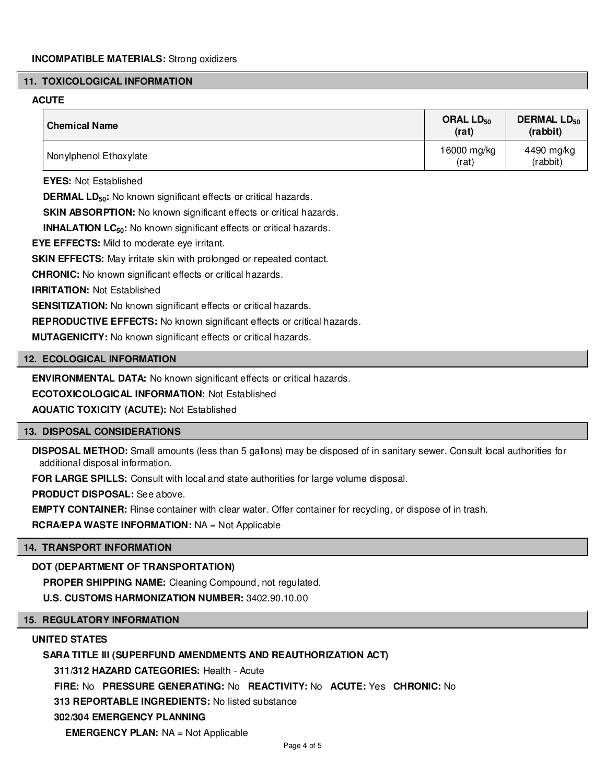#### **11. TOXICOLOGICAL INFORMATION**

# **ACUTE**

| <b>Chemical Name</b>   | ORAL $LD_{50}$<br>(rat) | <b>DERMAL LD<sub>50</sub></b><br>(rabbit) |
|------------------------|-------------------------|-------------------------------------------|
| Nonylphenol Ethoxylate | 16000 mg/kg<br>(rat)    | 4490 mg/kg<br>(rabbit)                    |

**EYES:** Not Established

**DERMAL LD**<sub>50</sub>: No known significant effects or critical hazards.

**SKIN ABSORPTION:** No known significant effects or critical hazards.

**INHALATION LC<sub>50</sub>:** No known significant effects or critical hazards.

**EYE EFFECTS:** Mild to moderate eye irritant.

**SKIN EFFECTS:** May irritate skin with prolonged or repeated contact.

**CHRONIC:** No known significant effects or critical hazards.

**IRRITATION:** Not Established

**SENSITIZATION:** No known significant effects or critical hazards.

**REPRODUCTIVE EFFECTS:** No known significant effects or critical hazards.

**MUTAGENICITY:** No known significant effects or critical hazards.

# **12. ECOLOGICAL INFORMATION**

**ENVIRONMENTAL DATA:** No known significant effects or critical hazards.

**ECOTOXICOLOGICAL INFORMATION:** Not Established

**AQUATIC TOXICITY (ACUTE):** Not Established

# **13. DISPOSAL CONSIDERATIONS**

**DISPOSAL METHOD:** Small amounts (less than 5 gallons) may be disposed of in sanitary sewer. Consult local authorities for additional disposal information.

**FOR LARGE SPILLS:** Consult with local and state authorities for large volume disposal.

**PRODUCT DISPOSAL:** See above.

**EMPTY CONTAINER:** Rinse container with clear water. Offer container for recycling, or dispose of in trash.

**RCRA/EPA WASTE INFORMATION:** NA = Not Applicable

# **14. TRANSPORT INFORMATION**

**DOT (DEPARTMENT OF TRANSPORTATION)**

**PROPER SHIPPING NAME:** Cleaning Compound, not regulated.

**U.S. CUSTOMS HARMONIZATION NUMBER:** 3402.90.10.00

# **15. REGULATORY INFORMATION**

# **UNITED STATES**

# **SARA TITLE III (SUPERFUND AMENDMENTS AND REAUTHORIZATION ACT)**

**311/312 HAZARD CATEGORIES:** Health - Acute

**FIRE:** No **PRESSURE GENERATING:** No **REACTIVITY:** No **ACUTE:** Yes **CHRONIC:** No

**313 REPORTABLE INGREDIENTS:** No listed substance

# **302/304 EMERGENCY PLANNING**

**EMERGENCY PLAN:** NA = Not Applicable